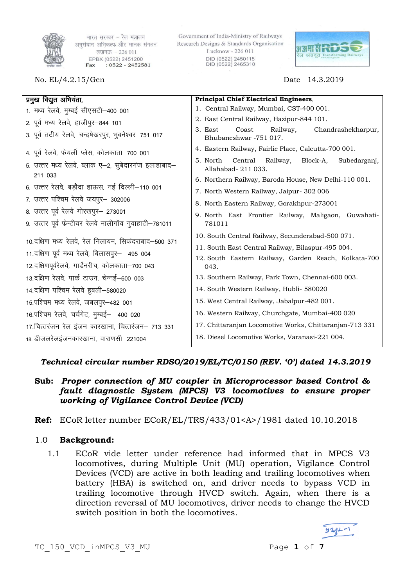

भारत सरकार - रेल मंत्रालय अनुसंधान अभिकल्प और मानक संगठन लखनऊ - 226 011 EPBX (0522) 2451200  $: 0522 - 2452581$ Fax

No. EL/4.2.15/Gen Date 14.3.2019

Government of India-Ministry of Railways Research Designs & Standards Organisation Lucknow - 226 011 DID (0522) 2450115 DID (0522) 2465310



| प्रमुख विद्युत अभियंता,                                                                       | Principal Chief Electrical Engineers,                                                                             |  |  |
|-----------------------------------------------------------------------------------------------|-------------------------------------------------------------------------------------------------------------------|--|--|
| 1. मध्य रेलवे, मुम्बई सीएसटी–400 001                                                          | 1. Central Railway, Mumbai, CST-400 001.                                                                          |  |  |
| 2. पूर्व मध्य रेलवे, हाजीपुर–844 101                                                          | 2. East Central Railway, Hazipur-844 101.                                                                         |  |  |
| 3. पूर्व तटीय रेलवे, चन्द्रषेखरपुर, भुबनेश्वर–751 017                                         | 3. East<br>Coast<br>Railway,<br>Chandrashekharpur,<br>Bhubaneshwar -751 017.                                      |  |  |
| 4. पूर्व रेलवे, फेयर्ली प्लेस, कोलकाता–700 001                                                | 4. Eastern Railway, Fairlie Place, Calcutta-700 001.                                                              |  |  |
| 5. उत्तर मध्य रेलवे, ब्लाक ए–2, सुबेदारगंज इलाहाबाद–                                          | 5. North<br>Central<br>Railway,<br>Block-A,<br>Subedarganj,<br>Allahabad- 211 033.                                |  |  |
| 211 033                                                                                       | 6. Northern Railway, Baroda House, New Delhi-110 001.                                                             |  |  |
| 6. उत्तर रेलवे, बड़ौदा हाऊस, नई दिल्ली–110 001                                                | 7. North Western Railway, Jaipur- 302 006                                                                         |  |  |
| 7. उत्तर पश्चिम रेलवे जयपुर– 302006                                                           | 8. North Eastern Railway, Gorakhpur-273001                                                                        |  |  |
| 8. उत्तर पूर्व रेलवे गोरखपुर– 273001<br>9. उत्तर पूर्व फेन्टीयर रेलवे मालीगॉव गुवाहाटी–781011 | 9. North East Frontier Railway, Maligaon, Guwahati-<br>781011                                                     |  |  |
|                                                                                               |                                                                                                                   |  |  |
| 10.दक्षिण मध्य रेलवे, रेल निलायम, सिकंदराबाद–500 371                                          | 10. South Central Railway, Secunderabad-500 071.                                                                  |  |  |
| 11. दक्षिण पूर्व मध्य रेलवे, बिलासपुर– 495 004                                                | 11. South East Central Railway, Bilaspur-495 004.<br>12. South Eastern Railway, Garden Reach, Kolkata-700<br>043. |  |  |
| 12.दक्षिणपूर्वरेलवे, गार्डेनरीच, कोलकाता–700 043                                              |                                                                                                                   |  |  |
| 13.दक्षिण रेलवे, पार्क टाउन, चेन्नई–600 003                                                   | 13. Southern Railway, Park Town, Chennai-600 003.                                                                 |  |  |
| 14. दक्षिण पश्चिम रेलवे हुबली–580020                                                          | 14. South Western Railway, Hubli- 580020                                                                          |  |  |
| 15.पश्चिम मध्य रेलवे, जबलपुर-482 001                                                          | 15. West Central Railway, Jabalpur-482 001.                                                                       |  |  |
| 16.पश्चिम रेलवे, चर्चगेट, मुम्बई– 400 020                                                     | 16. Western Railway, Churchgate, Mumbai-400 020                                                                   |  |  |
| 17. चित्तरंजन रेल इंजन कारखाना, चित्तरंजन– 713 331                                            | 17. Chittaranjan Locomotive Works, Chittaranjan-713 331                                                           |  |  |
| 18. डीजलरेलइंजनकारखाना, वाराणसी–221004                                                        | 18. Diesel Locomotive Works, Varanasi-221 004.                                                                    |  |  |

# *Technical circular number RDSO/2019/EL/TC/0150 (REV. '0') dated 14.3.2019*

- **Sub:** *Proper connection of MU coupler in Microprocessor based Control & fault diagnostic System (MPCS) V3 locomotives to ensure proper working of Vigilance Control Device (VCD)*
- **Ref:** ECoR letter number ECoR/EL/TRS/433/01<A>/1981 dated 10.10.2018

# 1.0 **Background:**

1.1 ECoR vide letter under reference had informed that in MPCS V3 locomotives, during Multiple Unit (MU) operation, Vigilance Control Devices (VCD) are active in both leading and trailing locomotives when battery (HBA) is switched on, and driver needs to bypass VCD in trailing locomotive through HVCD switch. Again, when there is a direction reversal of MU locomotives, driver needs to change the HVCD switch position in both the locomotives.

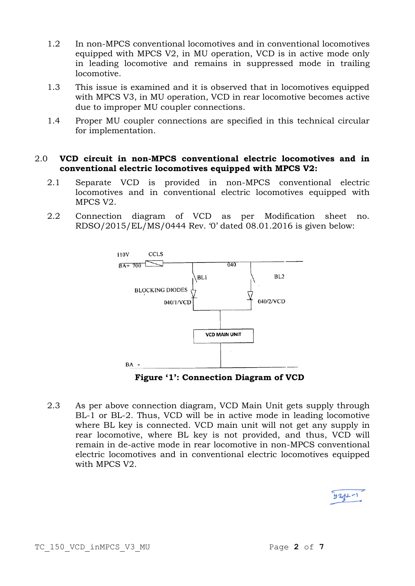- 1.2 In non-MPCS conventional locomotives and in conventional locomotives equipped with MPCS V2, in MU operation, VCD is in active mode only in leading locomotive and remains in suppressed mode in trailing locomotive.
- 1.3 This issue is examined and it is observed that in locomotives equipped with MPCS V3, in MU operation, VCD in rear locomotive becomes active due to improper MU coupler connections.
- 1.4 Proper MU coupler connections are specified in this technical circular for implementation.

#### 2.0 **VCD circuit in non-MPCS conventional electric locomotives and in conventional electric locomotives equipped with MPCS V2:**

- 2.1 Separate VCD is provided in non-MPCS conventional electric locomotives and in conventional electric locomotives equipped with MPCS V2.
- 2.2 Connection diagram of VCD as per Modification sheet no. RDSO/2015/EL/MS/0444 Rev. '0' dated 08.01.2016 is given below:



**Figure '1': Connection Diagram of VCD**

2.3 As per above connection diagram, VCD Main Unit gets supply through BL-1 or BL-2. Thus, VCD will be in active mode in leading locomotive where BL key is connected. VCD main unit will not get any supply in rear locomotive, where BL key is not provided, and thus, VCD will remain in de-active mode in rear locomotive in non-MPCS conventional electric locomotives and in conventional electric locomotives equipped with MPCS V2.

| $921 -$ |  |  |
|---------|--|--|
|         |  |  |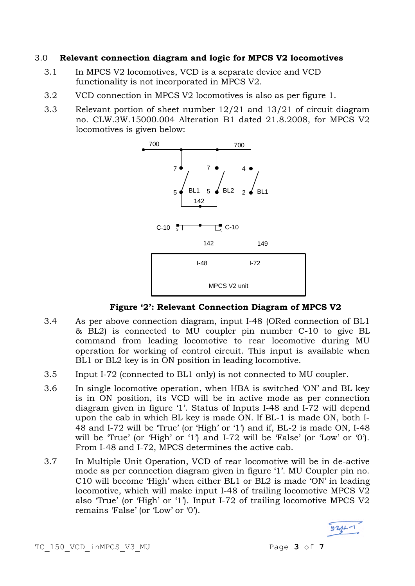#### 3.0 **Relevant connection diagram and logic for MPCS V2 locomotives**

- 3.1 In MPCS V2 locomotives, VCD is a separate device and VCD functionality is not incorporated in MPCS V2.
- 3.2 VCD connection in MPCS V2 locomotives is also as per figure 1.
- 3.3 Relevant portion of sheet number 12/21 and 13/21 of circuit diagram no. CLW.3W.15000.004 Alteration B1 dated 21.8.2008, for MPCS V2 locomotives is given below:



**Figure '2': Relevant Connection Diagram of MPCS V2**

- 3.4 As per above connection diagram, input I-48 (ORed connection of BL1 & BL2) is connected to MU coupler pin number C-10 to give BL command from leading locomotive to rear locomotive during MU operation for working of control circuit. This input is available when BL1 or BL2 key is in ON position in leading locomotive.
- 3.5 Input I-72 (connected to BL1 only) is not connected to MU coupler.
- 3.6 In single locomotive operation, when HBA is switched 'ON' and BL key is in ON position, its VCD will be in active mode as per connection diagram given in figure '1'. Status of Inputs I-48 and I-72 will depend upon the cab in which BL key is made ON. If BL-1 is made ON, both I-48 and I-72 will be 'True' (or 'High' or '1') and if, BL-2 is made ON, I-48 will be 'True' (or 'High' or '1') and I-72 will be 'False' (or 'Low' or '0'). From I-48 and I-72, MPCS determines the active cab.
- 3.7 In Multiple Unit Operation, VCD of rear locomotive will be in de-active mode as per connection diagram given in figure '1'. MU Coupler pin no. C10 will become 'High' when either BL1 or BL2 is made 'ON' in leading locomotive, which will make input I-48 of trailing locomotive MPCS V2 also 'True' (or 'High' or '1'). Input I-72 of trailing locomotive MPCS V2 remains 'False' (or 'Low' or '0').

 $921 - 1$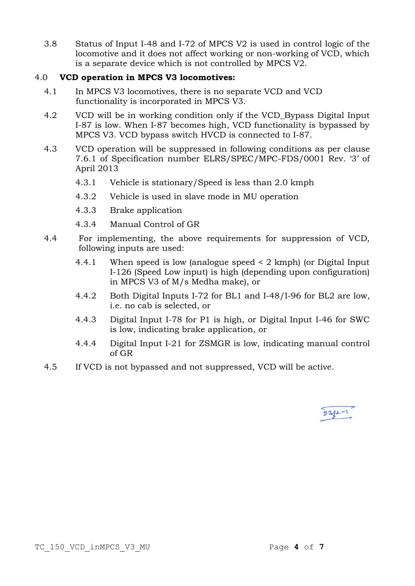3.8 Status of Input I-48 and I-72 of MPCS V2 is used in control logic of the locomotive and it does not affect working or non-working of VCD, which is a separate device which is not controlled by MPCS V2.

## 4.0 **VCD operation in MPCS V3 locomotives:**

- 4.1 In MPCS V3 locomotives, there is no separate VCD and VCD functionality is incorporated in MPCS V3.
- 4.2 VCD will be in working condition only if the VCD\_Bypass Digital Input I-87 is low. When I-87 becomes high, VCD functionality is bypassed by MPCS V3. VCD bypass switch HVCD is connected to I-87.
- 4.3 VCD operation will be suppressed in following conditions as per clause 7.6.1 of Specification number ELRS/SPEC/MPC-FDS/0001 Rev. '3' of April 2013
	- 4.3.1 Vehicle is stationary/Speed is less than 2.0 kmph
	- 4.3.2 Vehicle is used in slave mode in MU operation
	- 4.3.3 Brake application
	- 4.3.4 Manual Control of GR
- 4.4 For implementing, the above requirements for suppression of VCD, following inputs are used:
	- 4.4.1 When speed is low (analogue speed < 2 kmph) (or Digital Input I-126 (Speed Low input) is high (depending upon configuration) in MPCS V3 of M/s Medha make), or
	- 4.4.2 Both Digital Inputs I-72 for BL1 and I-48/I-96 for BL2 are low, i.e. no cab is selected, or
	- 4.4.3 Digital Input I-78 for P1 is high, or Digital Input I-46 for SWC is low, indicating brake application, or
	- 4.4.4 Digital Input I-21 for ZSMGR is low, indicating manual control of GR
- 4.5 If VCD is not bypassed and not suppressed, VCD will be active.

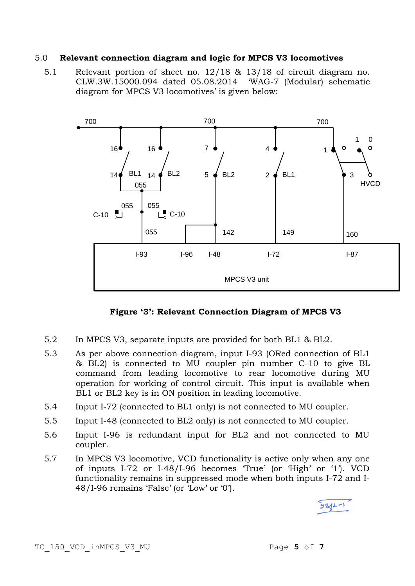#### 5.0 **Relevant connection diagram and logic for MPCS V3 locomotives**

5.1 Relevant portion of sheet no. 12/18 & 13/18 of circuit diagram no. CLW.3W.15000.094 dated 05.08.2014 'WAG-7 (Modular) schematic diagram for MPCS V3 locomotives' is given below:



**Figure '3': Relevant Connection Diagram of MPCS V3**

- 5.2 In MPCS V3, separate inputs are provided for both BL1 & BL2.
- 5.3 As per above connection diagram, input I-93 (ORed connection of BL1 & BL2) is connected to MU coupler pin number C-10 to give BL command from leading locomotive to rear locomotive during MU operation for working of control circuit. This input is available when BL1 or BL2 key is in ON position in leading locomotive.
- 5.4 Input I-72 (connected to BL1 only) is not connected to MU coupler.
- 5.5 Input I-48 (connected to BL2 only) is not connected to MU coupler.
- 5.6 Input I-96 is redundant input for BL2 and not connected to MU coupler.
- 5.7 In MPCS V3 locomotive, VCD functionality is active only when any one of inputs I-72 or I-48/I-96 becomes 'True' (or 'High' or '1'). VCD functionality remains in suppressed mode when both inputs I-72 and I-48/I-96 remains 'False' (or 'Low' or '0').

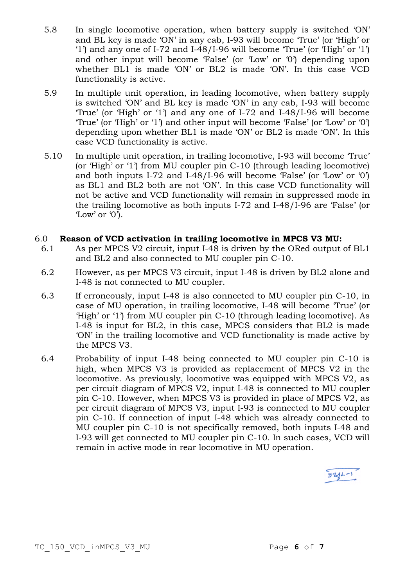- 5.8 In single locomotive operation, when battery supply is switched 'ON' and BL key is made 'ON' in any cab, I-93 will become 'True' (or 'High' or '1') and any one of I-72 and I-48/I-96 will become 'True' (or 'High' or '1') and other input will become 'False' (or 'Low' or '0') depending upon whether BL1 is made 'ON' or BL2 is made 'ON'. In this case VCD functionality is active.
- 5.9 In multiple unit operation, in leading locomotive, when battery supply is switched 'ON' and BL key is made 'ON' in any cab, I-93 will become 'True' (or 'High' or '1') and any one of I-72 and I-48/I-96 will become 'True' (or 'High' or '1') and other input will become 'False' (or 'Low' or '0') depending upon whether BL1 is made 'ON' or BL2 is made 'ON'. In this case VCD functionality is active.
- 5.10 In multiple unit operation, in trailing locomotive, I-93 will become 'True' (or 'High' or '1') from MU coupler pin C-10 (through leading locomotive) and both inputs I-72 and I-48/I-96 will become 'False' (or 'Low' or '0') as BL1 and BL2 both are not 'ON'. In this case VCD functionality will not be active and VCD functionality will remain in suppressed mode in the trailing locomotive as both inputs I-72 and I-48/I-96 are 'False' (or 'Low' or '0').

### 6.0 **Reason of VCD activation in trailing locomotive in MPCS V3 MU:**

- 6.1 As per MPCS V2 circuit, input I-48 is driven by the ORed output of BL1 and BL2 and also connected to MU coupler pin C-10.
- 6.2 However, as per MPCS V3 circuit, input I-48 is driven by BL2 alone and I-48 is not connected to MU coupler.
- 6.3 If erroneously, input I-48 is also connected to MU coupler pin C-10, in case of MU operation, in trailing locomotive, I-48 will become 'True' (or 'High' or '1') from MU coupler pin C-10 (through leading locomotive). As I-48 is input for BL2, in this case, MPCS considers that BL2 is made 'ON' in the trailing locomotive and VCD functionality is made active by the MPCS V3.
- 6.4 Probability of input I-48 being connected to MU coupler pin C-10 is high, when MPCS V3 is provided as replacement of MPCS V2 in the locomotive. As previously, locomotive was equipped with MPCS V2, as per circuit diagram of MPCS V2, input I-48 is connected to MU coupler pin C-10. However, when MPCS V3 is provided in place of MPCS V2, as per circuit diagram of MPCS V3, input I-93 is connected to MU coupler pin C-10. If connection of input I-48 which was already connected to MU coupler pin C-10 is not specifically removed, both inputs I-48 and I-93 will get connected to MU coupler pin C-10. In such cases, VCD will remain in active mode in rear locomotive in MU operation.